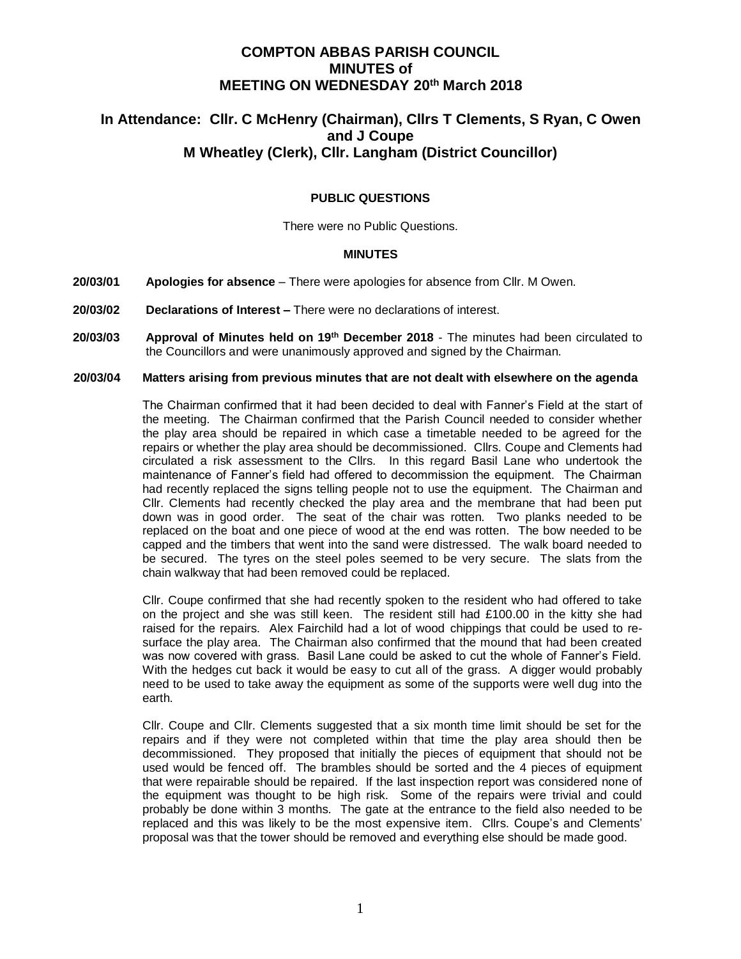# **COMPTON ABBAS PARISH COUNCIL MINUTES of MEETING ON WEDNESDAY 20th March 2018**

# **In Attendance: Cllr. C McHenry (Chairman), Cllrs T Clements, S Ryan, C Owen and J Coupe M Wheatley (Clerk), Cllr. Langham (District Councillor)**

# **PUBLIC QUESTIONS**

There were no Public Questions.

#### **MINUTES**

- **20/03/01 Apologies for absence**  There were apologies for absence from Cllr. M Owen.
- **20/03/02 Declarations of Interest –** There were no declarations of interest.
- **20/03/03 Approval of Minutes held on 19th December 2018**  The minutes had been circulated to the Councillors and were unanimously approved and signed by the Chairman.

#### **20/03/04 Matters arising from previous minutes that are not dealt with elsewhere on the agenda**

The Chairman confirmed that it had been decided to deal with Fanner's Field at the start of the meeting. The Chairman confirmed that the Parish Council needed to consider whether the play area should be repaired in which case a timetable needed to be agreed for the repairs or whether the play area should be decommissioned. Cllrs. Coupe and Clements had circulated a risk assessment to the Cllrs. In this regard Basil Lane who undertook the maintenance of Fanner's field had offered to decommission the equipment. The Chairman had recently replaced the signs telling people not to use the equipment. The Chairman and Cllr. Clements had recently checked the play area and the membrane that had been put down was in good order. The seat of the chair was rotten. Two planks needed to be replaced on the boat and one piece of wood at the end was rotten. The bow needed to be capped and the timbers that went into the sand were distressed. The walk board needed to be secured. The tyres on the steel poles seemed to be very secure. The slats from the chain walkway that had been removed could be replaced.

Cllr. Coupe confirmed that she had recently spoken to the resident who had offered to take on the project and she was still keen. The resident still had £100.00 in the kitty she had raised for the repairs. Alex Fairchild had a lot of wood chippings that could be used to resurface the play area. The Chairman also confirmed that the mound that had been created was now covered with grass. Basil Lane could be asked to cut the whole of Fanner's Field. With the hedges cut back it would be easy to cut all of the grass. A digger would probably need to be used to take away the equipment as some of the supports were well dug into the earth.

Cllr. Coupe and Cllr. Clements suggested that a six month time limit should be set for the repairs and if they were not completed within that time the play area should then be decommissioned. They proposed that initially the pieces of equipment that should not be used would be fenced off. The brambles should be sorted and the 4 pieces of equipment that were repairable should be repaired. If the last inspection report was considered none of the equipment was thought to be high risk. Some of the repairs were trivial and could probably be done within 3 months. The gate at the entrance to the field also needed to be replaced and this was likely to be the most expensive item. Cllrs. Coupe's and Clements' proposal was that the tower should be removed and everything else should be made good.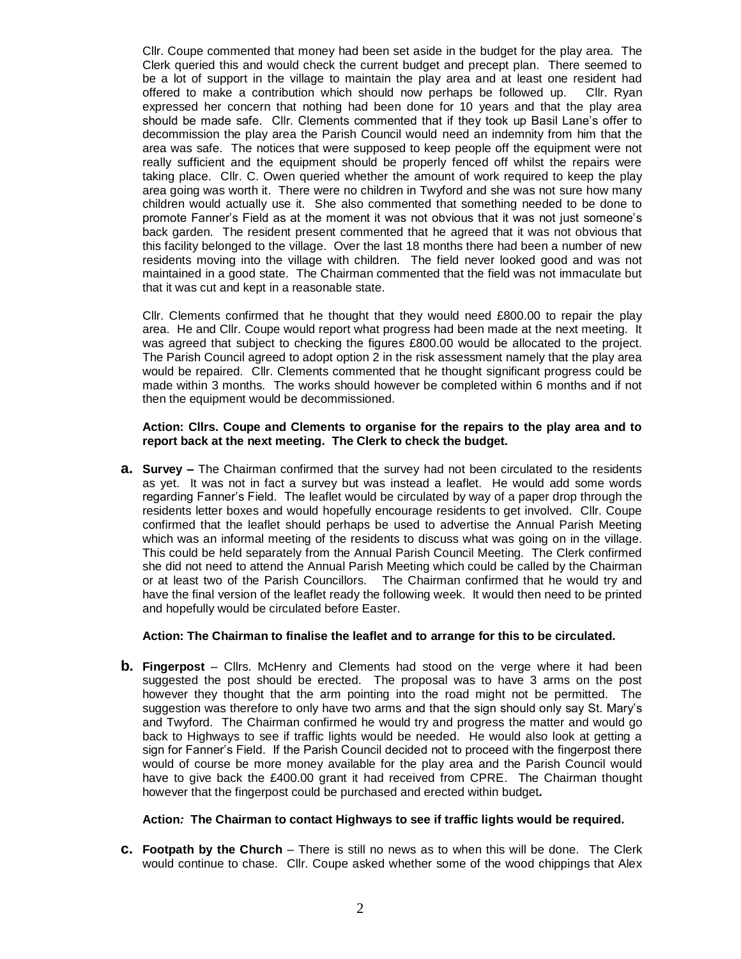Cllr. Coupe commented that money had been set aside in the budget for the play area. The Clerk queried this and would check the current budget and precept plan. There seemed to be a lot of support in the village to maintain the play area and at least one resident had offered to make a contribution which should now perhaps be followed up. Cllr. Ryan expressed her concern that nothing had been done for 10 years and that the play area should be made safe. Cllr. Clements commented that if they took up Basil Lane's offer to decommission the play area the Parish Council would need an indemnity from him that the area was safe. The notices that were supposed to keep people off the equipment were not really sufficient and the equipment should be properly fenced off whilst the repairs were taking place. Cllr. C. Owen queried whether the amount of work required to keep the play area going was worth it. There were no children in Twyford and she was not sure how many children would actually use it. She also commented that something needed to be done to promote Fanner's Field as at the moment it was not obvious that it was not just someone's back garden. The resident present commented that he agreed that it was not obvious that this facility belonged to the village. Over the last 18 months there had been a number of new residents moving into the village with children. The field never looked good and was not maintained in a good state. The Chairman commented that the field was not immaculate but that it was cut and kept in a reasonable state.

Cllr. Clements confirmed that he thought that they would need £800.00 to repair the play area. He and Cllr. Coupe would report what progress had been made at the next meeting. It was agreed that subject to checking the figures £800.00 would be allocated to the project. The Parish Council agreed to adopt option 2 in the risk assessment namely that the play area would be repaired. Cllr. Clements commented that he thought significant progress could be made within 3 months. The works should however be completed within 6 months and if not then the equipment would be decommissioned.

#### **Action: Cllrs. Coupe and Clements to organise for the repairs to the play area and to report back at the next meeting. The Clerk to check the budget.**

**a. Survey –** The Chairman confirmed that the survey had not been circulated to the residents as yet. It was not in fact a survey but was instead a leaflet. He would add some words regarding Fanner's Field. The leaflet would be circulated by way of a paper drop through the residents letter boxes and would hopefully encourage residents to get involved. Cllr. Coupe confirmed that the leaflet should perhaps be used to advertise the Annual Parish Meeting which was an informal meeting of the residents to discuss what was going on in the village. This could be held separately from the Annual Parish Council Meeting. The Clerk confirmed she did not need to attend the Annual Parish Meeting which could be called by the Chairman or at least two of the Parish Councillors. The Chairman confirmed that he would try and have the final version of the leaflet ready the following week. It would then need to be printed and hopefully would be circulated before Easter.

### **Action: The Chairman to finalise the leaflet and to arrange for this to be circulated.**

**b. Fingerpost** – Cllrs. McHenry and Clements had stood on the verge where it had been suggested the post should be erected. The proposal was to have 3 arms on the post however they thought that the arm pointing into the road might not be permitted. The suggestion was therefore to only have two arms and that the sign should only say St. Mary's and Twyford. The Chairman confirmed he would try and progress the matter and would go back to Highways to see if traffic lights would be needed. He would also look at getting a sign for Fanner's Field. If the Parish Council decided not to proceed with the fingerpost there would of course be more money available for the play area and the Parish Council would have to give back the £400.00 grant it had received from CPRE. The Chairman thought however that the fingerpost could be purchased and erected within budget*.*

## **Action***:* **The Chairman to contact Highways to see if traffic lights would be required.**

**c. Footpath by the Church** – There is still no news as to when this will be done. The Clerk would continue to chase. Cllr. Coupe asked whether some of the wood chippings that Alex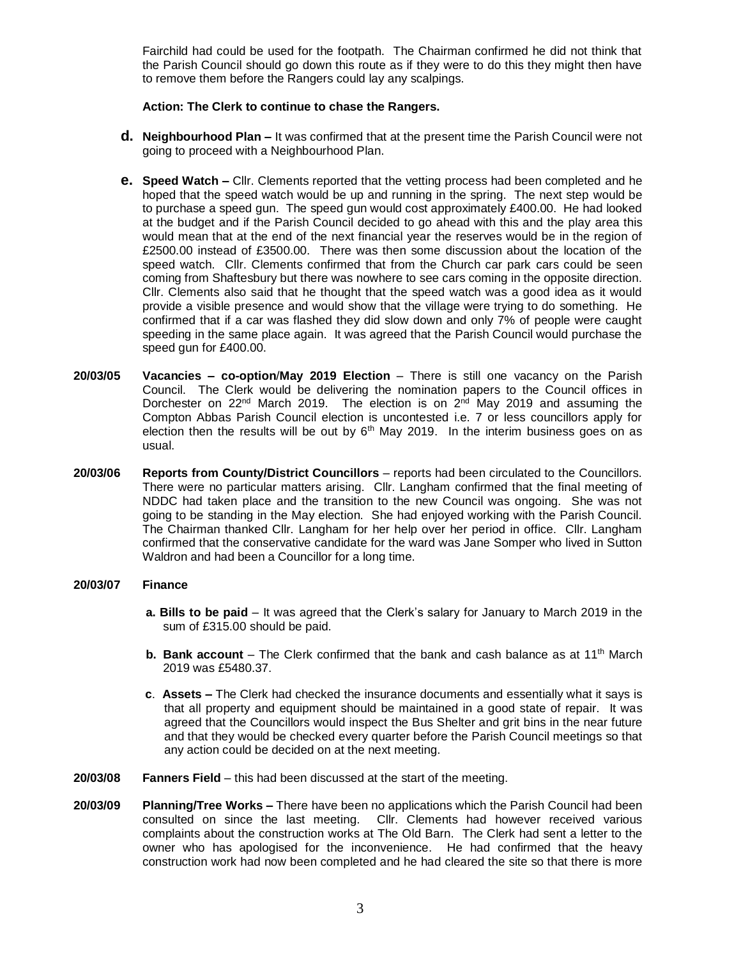Fairchild had could be used for the footpath. The Chairman confirmed he did not think that the Parish Council should go down this route as if they were to do this they might then have to remove them before the Rangers could lay any scalpings.

## **Action: The Clerk to continue to chase the Rangers.**

- **d. Neighbourhood Plan –** It was confirmed that at the present time the Parish Council were not going to proceed with a Neighbourhood Plan.
- **e. Speed Watch –** Cllr. Clements reported that the vetting process had been completed and he hoped that the speed watch would be up and running in the spring. The next step would be to purchase a speed gun. The speed gun would cost approximately £400.00. He had looked at the budget and if the Parish Council decided to go ahead with this and the play area this would mean that at the end of the next financial year the reserves would be in the region of £2500.00 instead of £3500.00. There was then some discussion about the location of the speed watch. Cllr. Clements confirmed that from the Church car park cars could be seen coming from Shaftesbury but there was nowhere to see cars coming in the opposite direction. Cllr. Clements also said that he thought that the speed watch was a good idea as it would provide a visible presence and would show that the village were trying to do something. He confirmed that if a car was flashed they did slow down and only 7% of people were caught speeding in the same place again. It was agreed that the Parish Council would purchase the speed gun for £400.00.
- **20/03/05 Vacancies – co-option**/**May 2019 Election** There is still one vacancy on the Parish Council. The Clerk would be delivering the nomination papers to the Council offices in Dorchester on 22<sup>nd</sup> March 2019. The election is on 2<sup>nd</sup> May 2019 and assuming the Compton Abbas Parish Council election is uncontested i.e. 7 or less councillors apply for election then the results will be out by  $6<sup>th</sup>$  May 2019. In the interim business goes on as usual.
- **20/03/06 Reports from County/District Councillors**  reports had been circulated to the Councillors. There were no particular matters arising. Cllr. Langham confirmed that the final meeting of NDDC had taken place and the transition to the new Council was ongoing. She was not going to be standing in the May election. She had enjoyed working with the Parish Council. The Chairman thanked Cllr. Langham for her help over her period in office. Cllr. Langham confirmed that the conservative candidate for the ward was Jane Somper who lived in Sutton Waldron and had been a Councillor for a long time.

### **20/03/07 Finance**

- **a. Bills to be paid** It was agreed that the Clerk's salary for January to March 2019 in the sum of £315.00 should be paid.
- **b.** Bank account The Clerk confirmed that the bank and cash balance as at 11<sup>th</sup> March 2019 was £5480.37.
- **c**. **Assets –** The Clerk had checked the insurance documents and essentially what it says is that all property and equipment should be maintained in a good state of repair. It was agreed that the Councillors would inspect the Bus Shelter and grit bins in the near future and that they would be checked every quarter before the Parish Council meetings so that any action could be decided on at the next meeting.
- **20/03/08 Fanners Field** this had been discussed at the start of the meeting.
- **20/03/09 Planning/Tree Works –** There have been no applications which the Parish Council had been consulted on since the last meeting. Cllr. Clements had however received various complaints about the construction works at The Old Barn. The Clerk had sent a letter to the owner who has apologised for the inconvenience. He had confirmed that the heavy construction work had now been completed and he had cleared the site so that there is more